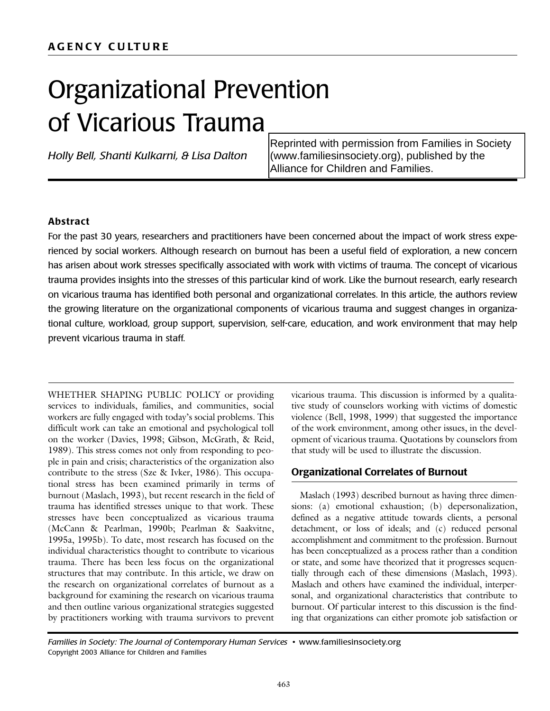# Organizational Prevention of Vicarious Trauma

*Holly Bell, Shanti Kulkarni, & Lisa Dalton*

Reprinted with permission from Families in Society (www.familiesinsociety.org), published by the Alliance for Children and Families.

# **Abstract**

For the past 30 years, researchers and practitioners have been concerned about the impact of work stress experienced by social workers. Although research on burnout has been a useful field of exploration, a new concern has arisen about work stresses specifically associated with work with victims of trauma. The concept of vicarious trauma provides insights into the stresses of this particular kind of work. Like the burnout research, early research on vicarious trauma has identified both personal and organizational correlates. In this article, the authors review the growing literature on the organizational components of vicarious trauma and suggest changes in organizational culture, workload, group support, supervision, self-care, education, and work environment that may help prevent vicarious trauma in staff.

WHETHER SHAPING PUBLIC POLICY or providing services to individuals, families, and communities, social workers are fully engaged with today's social problems. This difficult work can take an emotional and psychological toll on the worker (Davies, 1998; Gibson, McGrath, & Reid, 1989). This stress comes not only from responding to people in pain and crisis; characteristics of the organization also contribute to the stress (Sze & Ivker, 1986). This occupational stress has been examined primarily in terms of burnout (Maslach, 1993), but recent research in the field of trauma has identified stresses unique to that work. These stresses have been conceptualized as vicarious trauma (McCann & Pearlman, 1990b; Pearlman & Saakvitne, 1995a, 1995b). To date, most research has focused on the individual characteristics thought to contribute to vicarious trauma. There has been less focus on the organizational structures that may contribute. In this article, we draw on the research on organizational correlates of burnout as a background for examining the research on vicarious trauma and then outline various organizational strategies suggested by practitioners working with trauma survivors to prevent

vicarious trauma. This discussion is informed by a qualitative study of counselors working with victims of domestic violence (Bell, 1998, 1999) that suggested the importance of the work environment, among other issues, in the development of vicarious trauma. Quotations by counselors from that study will be used to illustrate the discussion.

# **Organizational Correlates of Burnout**

Maslach (1993) described burnout as having three dimensions: (a) emotional exhaustion; (b) depersonalization, defined as a negative attitude towards clients, a personal detachment, or loss of ideals; and (c) reduced personal accomplishment and commitment to the profession. Burnout has been conceptualized as a process rather than a condition or state, and some have theorized that it progresses sequentially through each of these dimensions (Maslach, 1993). Maslach and others have examined the individual, interpersonal, and organizational characteristics that contribute to burnout. Of particular interest to this discussion is the finding that organizations can either promote job satisfaction or

*Families in Society: The Journal of Contemporary Human Services* • www.familiesinsociety.org Copyright 2003 Alliance for Children and Families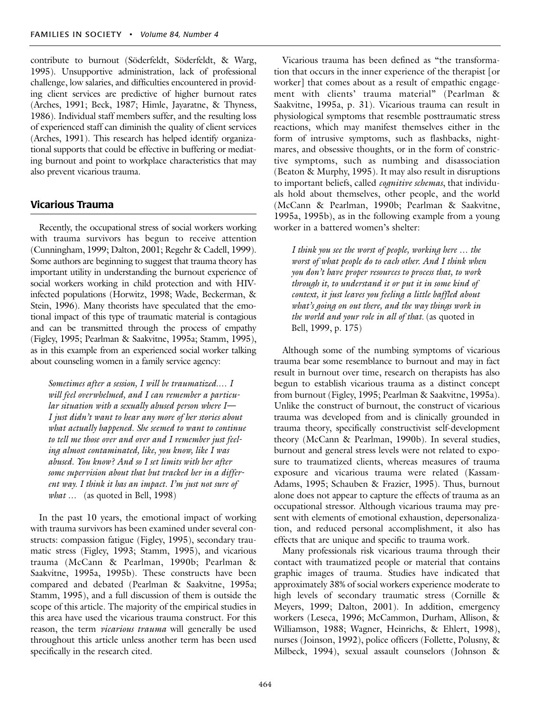contribute to burnout (Söderfeldt, Söderfeldt, & Warg, 1995). Unsupportive administration, lack of professional challenge, low salaries, and difficulties encountered in providing client services are predictive of higher burnout rates (Arches, 1991; Beck, 1987; Himle, Jayaratne, & Thyness, 1986). Individual staff members suffer, and the resulting loss of experienced staff can diminish the quality of client services (Arches, 1991). This research has helped identify organizational supports that could be effective in buffering or mediating burnout and point to workplace characteristics that may also prevent vicarious trauma.

## **Vicarious Trauma**

Recently, the occupational stress of social workers working with trauma survivors has begun to receive attention (Cunningham, 1999; Dalton, 2001; Regehr & Cadell, 1999). Some authors are beginning to suggest that trauma theory has important utility in understanding the burnout experience of social workers working in child protection and with HIVinfected populations (Horwitz, 1998; Wade, Beckerman, & Stein, 1996). Many theorists have speculated that the emotional impact of this type of traumatic material is contagious and can be transmitted through the process of empathy (Figley, 1995; Pearlman & Saakvitne, 1995a; Stamm, 1995), as in this example from an experienced social worker talking about counseling women in a family service agency:

*Sometimes after a session, I will be traumatized.… I will feel overwhelmed, and I can remember a particular situation with a sexually abused person where I— I just didn't want to hear any more of her stories about what actually happened. She seemed to want to continue to tell me those over and over and I remember just feeling almost contaminated, like, you know, like I was abused. You know? And so I set limits with her after some supervision about that but tracked her in a different way. I think it has an impact. I'm just not sure of what* ... (as quoted in Bell, 1998)

In the past 10 years, the emotional impact of working with trauma survivors has been examined under several constructs: compassion fatigue (Figley, 1995), secondary traumatic stress (Figley, 1993; Stamm, 1995), and vicarious trauma (McCann & Pearlman, 1990b; Pearlman & Saakvitne, 1995a, 1995b). These constructs have been compared and debated (Pearlman & Saakvitne, 1995a; Stamm, 1995), and a full discussion of them is outside the scope of this article. The majority of the empirical studies in this area have used the vicarious trauma construct. For this reason, the term *vicarious trauma* will generally be used throughout this article unless another term has been used specifically in the research cited.

Vicarious trauma has been defined as "the transformation that occurs in the inner experience of the therapist [or worker] that comes about as a result of empathic engagement with clients' trauma material" (Pearlman & Saakvitne, 1995a, p. 31). Vicarious trauma can result in physiological symptoms that resemble posttraumatic stress reactions, which may manifest themselves either in the form of intrusive symptoms, such as flashbacks, nightmares, and obsessive thoughts, or in the form of constrictive symptoms, such as numbing and disassociation (Beaton & Murphy, 1995). It may also result in disruptions to important beliefs, called *cognitive schemas*, that individuals hold about themselves, other people, and the world (McCann & Pearlman, 1990b; Pearlman & Saakvitne, 1995a, 1995b), as in the following example from a young worker in a battered women's shelter:

*I think you see the worst of people, working here … the worst of what people do to each other. And I think when you don't have proper resources to process that, to work through it, to understand it or put it in some kind of context, it just leaves you feeling a little baffled about what's going on out there, and the way things work in the world and your role in all of that.* (as quoted in Bell, 1999, p. 175)

Although some of the numbing symptoms of vicarious trauma bear some resemblance to burnout and may in fact result in burnout over time, research on therapists has also begun to establish vicarious trauma as a distinct concept from burnout (Figley, 1995; Pearlman & Saakvitne, 1995a). Unlike the construct of burnout, the construct of vicarious trauma was developed from and is clinically grounded in trauma theory, specifically constructivist self-development theory (McCann & Pearlman, 1990b). In several studies, burnout and general stress levels were not related to exposure to traumatized clients, whereas measures of trauma exposure and vicarious trauma were related (Kassam-Adams, 1995; Schauben & Frazier, 1995). Thus, burnout alone does not appear to capture the effects of trauma as an occupational stressor. Although vicarious trauma may present with elements of emotional exhaustion, depersonalization, and reduced personal accomplishment, it also has effects that are unique and specific to trauma work.

Many professionals risk vicarious trauma through their contact with traumatized people or material that contains graphic images of trauma. Studies have indicated that approximately 38% of social workers experience moderate to high levels of secondary traumatic stress (Cornille & Meyers, 1999; Dalton, 2001). In addition, emergency workers (Leseca, 1996; McCammon, Durham, Allison, & Williamson, 1988; Wagner, Heinrichs, & Ehlert, 1998), nurses (Joinson, 1992), police officers (Follette, Polusny, & Milbeck, 1994), sexual assault counselors (Johnson &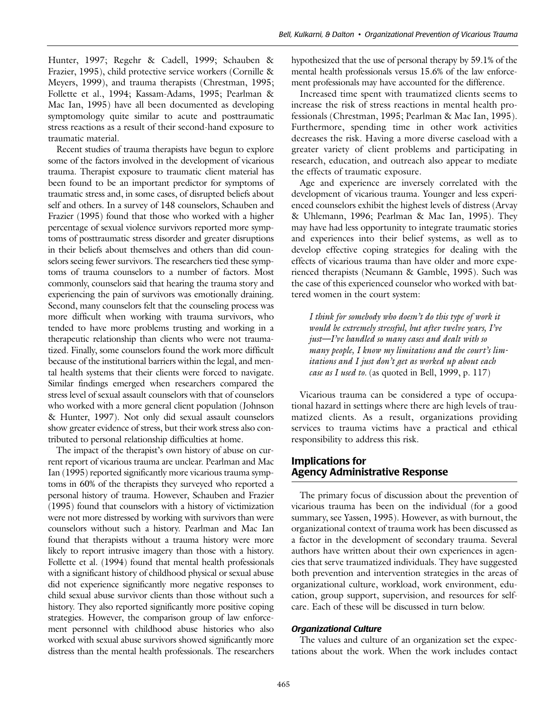Hunter, 1997; Regehr & Cadell, 1999; Schauben & Frazier, 1995), child protective service workers (Cornille & Meyers, 1999), and trauma therapists (Chrestman, 1995; Follette et al., 1994; Kassam-Adams, 1995; Pearlman & Mac Ian, 1995) have all been documented as developing symptomology quite similar to acute and posttraumatic stress reactions as a result of their second-hand exposure to traumatic material.

Recent studies of trauma therapists have begun to explore some of the factors involved in the development of vicarious trauma. Therapist exposure to traumatic client material has been found to be an important predictor for symptoms of traumatic stress and, in some cases, of disrupted beliefs about self and others. In a survey of 148 counselors, Schauben and Frazier (1995) found that those who worked with a higher percentage of sexual violence survivors reported more symptoms of posttraumatic stress disorder and greater disruptions in their beliefs about themselves and others than did counselors seeing fewer survivors. The researchers tied these symptoms of trauma counselors to a number of factors. Most commonly, counselors said that hearing the trauma story and experiencing the pain of survivors was emotionally draining. Second, many counselors felt that the counseling process was more difficult when working with trauma survivors, who tended to have more problems trusting and working in a therapeutic relationship than clients who were not traumatized. Finally, some counselors found the work more difficult because of the institutional barriers within the legal, and mental health systems that their clients were forced to navigate. Similar findings emerged when researchers compared the stress level of sexual assault counselors with that of counselors who worked with a more general client population (Johnson & Hunter, 1997). Not only did sexual assault counselors show greater evidence of stress, but their work stress also contributed to personal relationship difficulties at home.

The impact of the therapist's own history of abuse on current report of vicarious trauma are unclear. Pearlman and Mac Ian (1995) reported significantly more vicarious trauma symptoms in 60% of the therapists they surveyed who reported a personal history of trauma. However, Schauben and Frazier (1995) found that counselors with a history of victimization were not more distressed by working with survivors than were counselors without such a history. Pearlman and Mac Ian found that therapists without a trauma history were more likely to report intrusive imagery than those with a history. Follette et al. (1994) found that mental health professionals with a significant history of childhood physical or sexual abuse did not experience significantly more negative responses to child sexual abuse survivor clients than those without such a history. They also reported significantly more positive coping strategies. However, the comparison group of law enforcement personnel with childhood abuse histories who also worked with sexual abuse survivors showed significantly more distress than the mental health professionals. The researchers

hypothesized that the use of personal therapy by 59.1% of the mental health professionals versus 15.6% of the law enforcement professionals may have accounted for the difference.

Increased time spent with traumatized clients seems to increase the risk of stress reactions in mental health professionals (Chrestman, 1995; Pearlman & Mac Ian, 1995). Furthermore, spending time in other work activities decreases the risk. Having a more diverse caseload with a greater variety of client problems and participating in research, education, and outreach also appear to mediate the effects of traumatic exposure.

Age and experience are inversely correlated with the development of vicarious trauma. Younger and less experienced counselors exhibit the highest levels of distress (Arvay & Uhlemann, 1996; Pearlman & Mac Ian, 1995). They may have had less opportunity to integrate traumatic stories and experiences into their belief systems, as well as to develop effective coping strategies for dealing with the effects of vicarious trauma than have older and more experienced therapists (Neumann & Gamble, 1995). Such was the case of this experienced counselor who worked with battered women in the court system:

*I think for somebody who doesn't do this type of work it would be extremely stressful, but after twelve years, I've just—I've handled so many cases and dealt with so many people, I know my limitations and the court's limitations and I just don't get as worked up about each case as I used to.* (as quoted in Bell, 1999, p. 117)

Vicarious trauma can be considered a type of occupational hazard in settings where there are high levels of traumatized clients. As a result, organizations providing services to trauma victims have a practical and ethical responsibility to address this risk.

# **Implications for Agency Administrative Response**

The primary focus of discussion about the prevention of vicarious trauma has been on the individual (for a good summary, see Yassen, 1995). However, as with burnout, the organizational context of trauma work has been discussed as a factor in the development of secondary trauma. Several authors have written about their own experiences in agencies that serve traumatized individuals. They have suggested both prevention and intervention strategies in the areas of organizational culture, workload, work environment, education, group support, supervision, and resources for selfcare. Each of these will be discussed in turn below.

### *Organizational Culture*

The values and culture of an organization set the expectations about the work. When the work includes contact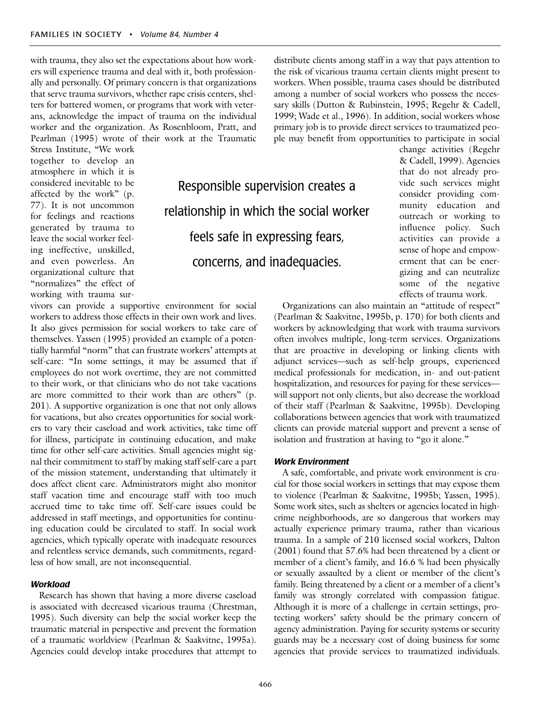with trauma, they also set the expectations about how workers will experience trauma and deal with it, both professionally and personally. Of primary concern is that organizations that serve trauma survivors, whether rape crisis centers, shelters for battered women, or programs that work with veterans, acknowledge the impact of trauma on the individual worker and the organization. As Rosenbloom, Pratt, and Pearlman (1995) wrote of their work at the Traumatic

distribute clients among staff in a way that pays attention to the risk of vicarious trauma certain clients might present to workers. When possible, trauma cases should be distributed among a number of social workers who possess the necessary skills (Dutton & Rubinstein, 1995; Regehr & Cadell, 1999; Wade et al., 1996). In addition, social workers whose primary job is to provide direct services to traumatized people may benefit from opportunities to participate in social

Stress Institute, "We work together to develop an atmosphere in which it is considered inevitable to be affected by the work" (p. 77). It is not uncommon for feelings and reactions generated by trauma to leave the social worker feeling ineffective, unskilled, and even powerless. An organizational culture that "normalizes" the effect of working with trauma sur-

Responsible supervision creates a relationship in which the social worker feels safe in expressing fears, concerns, and inadequacies.

vivors can provide a supportive environment for social workers to address those effects in their own work and lives. It also gives permission for social workers to take care of themselves. Yassen (1995) provided an example of a potentially harmful "norm" that can frustrate workers' attempts at self-care: "In some settings, it may be assumed that if employees do not work overtime, they are not committed to their work, or that clinicians who do not take vacations are more committed to their work than are others" (p. 201). A supportive organization is one that not only allows for vacations, but also creates opportunities for social workers to vary their caseload and work activities, take time off for illness, participate in continuing education, and make time for other self-care activities. Small agencies might signal their commitment to staff by making staff self-care a part of the mission statement, understanding that ultimately it does affect client care. Administrators might also monitor staff vacation time and encourage staff with too much accrued time to take time off. Self-care issues could be addressed in staff meetings, and opportunities for continuing education could be circulated to staff. In social work agencies, which typically operate with inadequate resources and relentless service demands, such commitments, regardless of how small, are not inconsequential.

#### *Workload*

Research has shown that having a more diverse caseload is associated with decreased vicarious trauma (Chrestman, 1995). Such diversity can help the social worker keep the traumatic material in perspective and prevent the formation of a traumatic worldview (Pearlman & Saakvitne, 1995a). Agencies could develop intake procedures that attempt to & Cadell, 1999). Agencies that do not already provide such services might consider providing community education and outreach or working to influence policy. Such activities can provide a sense of hope and empowerment that can be energizing and can neutralize some of the negative effects of trauma work.

change activities (Regehr

Organizations can also maintain an "attitude of respect" (Pearlman & Saakvitne, 1995b, p. 170) for both clients and workers by acknowledging that work with trauma survivors often involves multiple, long-term services. Organizations that are proactive in developing or linking clients with adjunct services—such as self-help groups, experienced medical professionals for medication, in- and out-patient hospitalization, and resources for paying for these services will support not only clients, but also decrease the workload of their staff (Pearlman & Saakvitne, 1995b). Developing collaborations between agencies that work with traumatized clients can provide material support and prevent a sense of isolation and frustration at having to "go it alone."

#### *Work Environment*

A safe, comfortable, and private work environment is crucial for those social workers in settings that may expose them to violence (Pearlman & Saakvitne, 1995b; Yassen, 1995). Some work sites, such as shelters or agencies located in highcrime neighborhoods, are so dangerous that workers may actually experience primary trauma, rather than vicarious trauma. In a sample of 210 licensed social workers, Dalton (2001) found that 57.6% had been threatened by a client or member of a client's family, and 16.6 % had been physically or sexually assaulted by a client or member of the client's family. Being threatened by a client or a member of a client's family was strongly correlated with compassion fatigue. Although it is more of a challenge in certain settings, protecting workers' safety should be the primary concern of agency administration. Paying for security systems or security guards may be a necessary cost of doing business for some agencies that provide services to traumatized individuals.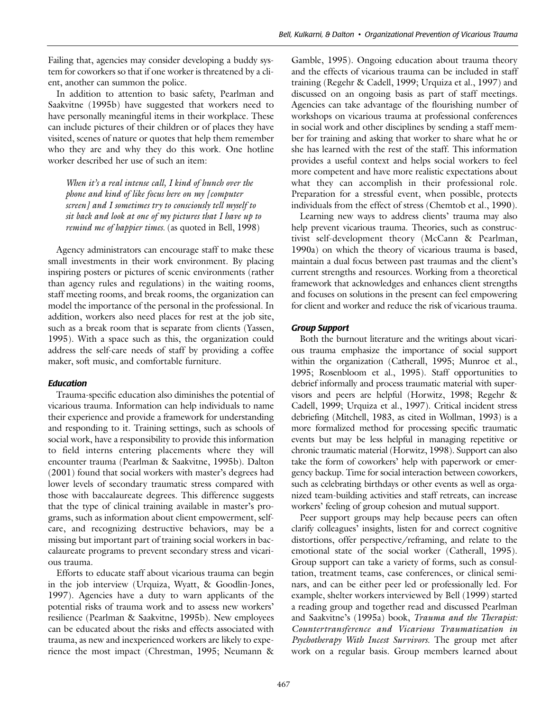Failing that, agencies may consider developing a buddy system for coworkers so that if one worker is threatened by a client, another can summon the police.

In addition to attention to basic safety, Pearlman and Saakvitne (1995b) have suggested that workers need to have personally meaningful items in their workplace. These can include pictures of their children or of places they have visited, scenes of nature or quotes that help them remember who they are and why they do this work. One hotline worker described her use of such an item:

*When it's a real intense call, I kind of hunch over the phone and kind of like focus here on my [computer screen] and I sometimes try to consciously tell myself to sit back and look at one of my pictures that I have up to remind me of happier times.* (as quoted in Bell, 1998)

Agency administrators can encourage staff to make these small investments in their work environment. By placing inspiring posters or pictures of scenic environments (rather than agency rules and regulations) in the waiting rooms, staff meeting rooms, and break rooms, the organization can model the importance of the personal in the professional. In addition, workers also need places for rest at the job site, such as a break room that is separate from clients (Yassen, 1995). With a space such as this, the organization could address the self-care needs of staff by providing a coffee maker, soft music, and comfortable furniture.

# *Education*

Trauma-specific education also diminishes the potential of vicarious trauma. Information can help individuals to name their experience and provide a framework for understanding and responding to it. Training settings, such as schools of social work, have a responsibility to provide this information to field interns entering placements where they will encounter trauma (Pearlman & Saakvitne, 1995b). Dalton (2001) found that social workers with master's degrees had lower levels of secondary traumatic stress compared with those with baccalaureate degrees. This difference suggests that the type of clinical training available in master's programs, such as information about client empowerment, selfcare, and recognizing destructive behaviors, may be a missing but important part of training social workers in baccalaureate programs to prevent secondary stress and vicarious trauma.

Efforts to educate staff about vicarious trauma can begin in the job interview (Urquiza, Wyatt, & Goodlin-Jones, 1997). Agencies have a duty to warn applicants of the potential risks of trauma work and to assess new workers' resilience (Pearlman & Saakvitne, 1995b). New employees can be educated about the risks and effects associated with trauma, as new and inexperienced workers are likely to experience the most impact (Chrestman, 1995; Neumann & Gamble, 1995). Ongoing education about trauma theory and the effects of vicarious trauma can be included in staff training (Regehr & Cadell, 1999; Urquiza et al., 1997) and discussed on an ongoing basis as part of staff meetings. Agencies can take advantage of the flourishing number of workshops on vicarious trauma at professional conferences in social work and other disciplines by sending a staff member for training and asking that worker to share what he or she has learned with the rest of the staff. This information provides a useful context and helps social workers to feel more competent and have more realistic expectations about what they can accomplish in their professional role. Preparation for a stressful event, when possible, protects individuals from the effect of stress (Chemtob et al., 1990).

Learning new ways to address clients' trauma may also help prevent vicarious trauma. Theories, such as constructivist self-development theory (McCann & Pearlman, 1990a) on which the theory of vicarious trauma is based, maintain a dual focus between past traumas and the client's current strengths and resources. Working from a theoretical framework that acknowledges and enhances client strengths and focuses on solutions in the present can feel empowering for client and worker and reduce the risk of vicarious trauma.

## *Group Support*

Both the burnout literature and the writings about vicarious trauma emphasize the importance of social support within the organization (Catherall, 1995; Munroe et al., 1995; Rosenbloom et al., 1995). Staff opportunities to debrief informally and process traumatic material with supervisors and peers are helpful (Horwitz, 1998; Regehr & Cadell, 1999; Urquiza et al., 1997). Critical incident stress debriefing (Mitchell, 1983, as cited in Wollman, 1993) is a more formalized method for processing specific traumatic events but may be less helpful in managing repetitive or chronic traumatic material (Horwitz, 1998). Support can also take the form of coworkers' help with paperwork or emergency backup. Time for social interaction between coworkers, such as celebrating birthdays or other events as well as organized team-building activities and staff retreats, can increase workers' feeling of group cohesion and mutual support.

Peer support groups may help because peers can often clarify colleagues' insights, listen for and correct cognitive distortions, offer perspective/reframing, and relate to the emotional state of the social worker (Catherall, 1995). Group support can take a variety of forms, such as consultation, treatment teams, case conferences, or clinical seminars, and can be either peer led or professionally led. For example, shelter workers interviewed by Bell (1999) started a reading group and together read and discussed Pearlman and Saakvitne's (1995a) book, *Trauma and the Therapist: Countertransference and Vicarious Traumatization in Psychotherapy With Incest Survivors*. The group met after work on a regular basis. Group members learned about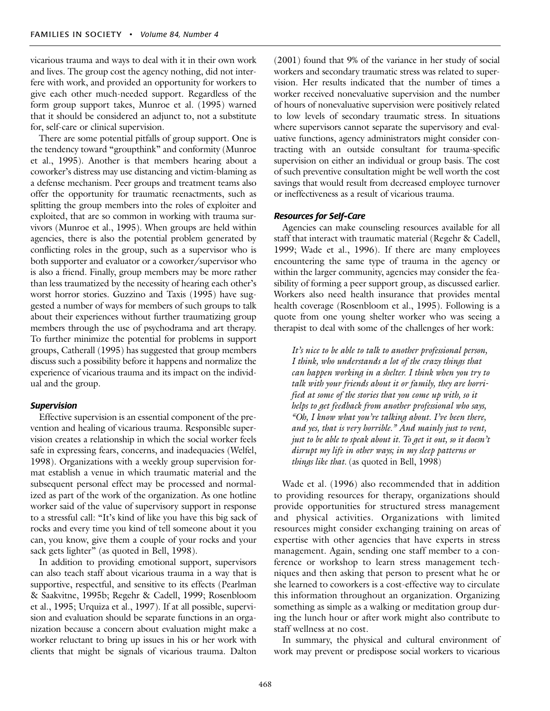vicarious trauma and ways to deal with it in their own work and lives. The group cost the agency nothing, did not interfere with work, and provided an opportunity for workers to give each other much-needed support. Regardless of the form group support takes, Munroe et al. (1995) warned that it should be considered an adjunct to, not a substitute for, self-care or clinical supervision.

There are some potential pitfalls of group support. One is the tendency toward "groupthink" and conformity (Munroe et al., 1995). Another is that members hearing about a coworker's distress may use distancing and victim-blaming as a defense mechanism. Peer groups and treatment teams also offer the opportunity for traumatic reenactments, such as splitting the group members into the roles of exploiter and exploited, that are so common in working with trauma survivors (Munroe et al., 1995). When groups are held within agencies, there is also the potential problem generated by conflicting roles in the group, such as a supervisor who is both supporter and evaluator or a coworker/supervisor who is also a friend. Finally, group members may be more rather than less traumatized by the necessity of hearing each other's worst horror stories. Guzzino and Taxis (1995) have suggested a number of ways for members of such groups to talk about their experiences without further traumatizing group members through the use of psychodrama and art therapy. To further minimize the potential for problems in support groups, Catherall (1995) has suggested that group members discuss such a possibility before it happens and normalize the experience of vicarious trauma and its impact on the individual and the group.

#### *Supervision*

Effective supervision is an essential component of the prevention and healing of vicarious trauma. Responsible supervision creates a relationship in which the social worker feels safe in expressing fears, concerns, and inadequacies (Welfel, 1998). Organizations with a weekly group supervision format establish a venue in which traumatic material and the subsequent personal effect may be processed and normalized as part of the work of the organization. As one hotline worker said of the value of supervisory support in response to a stressful call: "It's kind of like you have this big sack of rocks and every time you kind of tell someone about it you can, you know, give them a couple of your rocks and your sack gets lighter" (as quoted in Bell, 1998).

In addition to providing emotional support, supervisors can also teach staff about vicarious trauma in a way that is supportive, respectful, and sensitive to its effects (Pearlman & Saakvitne, 1995b; Regehr & Cadell, 1999; Rosenbloom et al., 1995; Urquiza et al., 1997). If at all possible, supervision and evaluation should be separate functions in an organization because a concern about evaluation might make a worker reluctant to bring up issues in his or her work with clients that might be signals of vicarious trauma. Dalton

(2001) found that 9% of the variance in her study of social workers and secondary traumatic stress was related to supervision. Her results indicated that the number of times a worker received nonevaluative supervision and the number of hours of nonevaluative supervision were positively related to low levels of secondary traumatic stress. In situations where supervisors cannot separate the supervisory and evaluative functions, agency administrators might consider contracting with an outside consultant for trauma-specific supervision on either an individual or group basis. The cost of such preventive consultation might be well worth the cost savings that would result from decreased employee turnover or ineffectiveness as a result of vicarious trauma.

## *Resources for Self-Care*

Agencies can make counseling resources available for all staff that interact with traumatic material (Regehr & Cadell, 1999; Wade et al., 1996). If there are many employees encountering the same type of trauma in the agency or within the larger community, agencies may consider the feasibility of forming a peer support group, as discussed earlier. Workers also need health insurance that provides mental health coverage (Rosenbloom et al., 1995). Following is a quote from one young shelter worker who was seeing a therapist to deal with some of the challenges of her work:

*It's nice to be able to talk to another professional person, I think, who understands a lot of the crazy things that can happen working in a shelter. I think when you try to talk with your friends about it or family, they are horrified at some of the stories that you come up with, so it helps to get feedback from another professional who says, "Oh, I know what you're talking about. I've been there, and yes, that is very horrible." And mainly just to vent, just to be able to speak about it. To get it out, so it doesn't disrupt my life in other ways; in my sleep patterns or things like that.* (as quoted in Bell, 1998)

Wade et al. (1996) also recommended that in addition to providing resources for therapy, organizations should provide opportunities for structured stress management and physical activities. Organizations with limited resources might consider exchanging training on areas of expertise with other agencies that have experts in stress management. Again, sending one staff member to a conference or workshop to learn stress management techniques and then asking that person to present what he or she learned to coworkers is a cost-effective way to circulate this information throughout an organization. Organizing something as simple as a walking or meditation group during the lunch hour or after work might also contribute to staff wellness at no cost.

In summary, the physical and cultural environment of work may prevent or predispose social workers to vicarious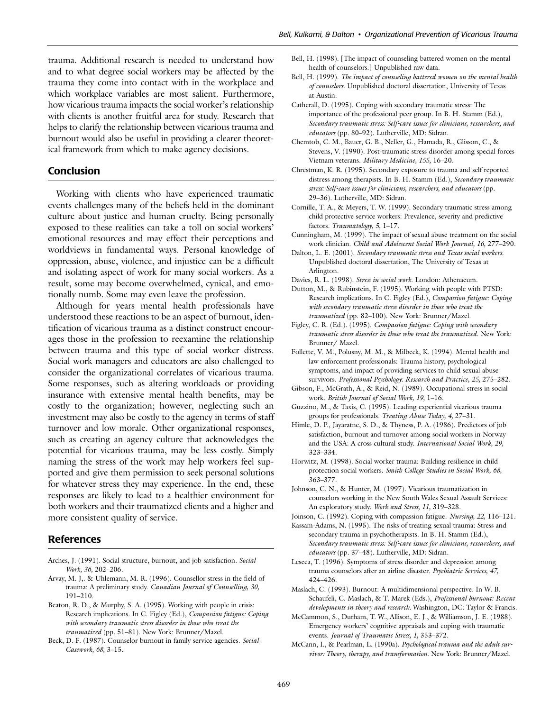trauma. Additional research is needed to understand how and to what degree social workers may be affected by the trauma they come into contact with in the workplace and which workplace variables are most salient. Furthermore, how vicarious trauma impacts the social worker's relationship with clients is another fruitful area for study. Research that helps to clarify the relationship between vicarious trauma and burnout would also be useful in providing a clearer theoretical framework from which to make agency decisions.

## **Conclusion**

Working with clients who have experienced traumatic events challenges many of the beliefs held in the dominant culture about justice and human cruelty. Being personally exposed to these realities can take a toll on social workers' emotional resources and may effect their perceptions and worldviews in fundamental ways. Personal knowledge of oppression, abuse, violence, and injustice can be a difficult and isolating aspect of work for many social workers. As a result, some may become overwhelmed, cynical, and emotionally numb. Some may even leave the profession.

Although for years mental health professionals have understood these reactions to be an aspect of burnout, identification of vicarious trauma as a distinct construct encourages those in the profession to reexamine the relationship between trauma and this type of social worker distress. Social work managers and educators are also challenged to consider the organizational correlates of vicarious trauma. Some responses, such as altering workloads or providing insurance with extensive mental health benefits, may be costly to the organization; however, neglecting such an investment may also be costly to the agency in terms of staff turnover and low morale. Other organizational responses, such as creating an agency culture that acknowledges the potential for vicarious trauma, may be less costly. Simply naming the stress of the work may help workers feel supported and give them permission to seek personal solutions for whatever stress they may experience. In the end, these responses are likely to lead to a healthier environment for both workers and their traumatized clients and a higher and more consistent quality of service.

## **References**

- Arches, J. (1991). Social structure, burnout, and job satisfaction. *Social Work, 36,* 202–206.
- Arvay, M. J,. & Uhlemann, M. R. (1996). Counsellor stress in the field of trauma: A preliminary study. *Canadian Journal of Counselling, 30,* 191–210.
- Beaton, R. D., & Murphy, S. A. (1995). Working with people in crisis: Research implications. In C. Figley (Ed.), *Compassion fatigue: Coping with secondary traumatic stress disorder in those who treat the traumatized* (pp. 51–81). New York: Brunner/Mazel.
- Beck, D. F. (1987). Counselor burnout in family service agencies. *Social Casework, 68,* 3–15.
- Bell, H. (1998). [The impact of counseling battered women on the mental health of counselors.] Unpublished raw data.
- Bell, H. (1999). *The impact of counseling battered women on the mental health of counselors.* Unpublished doctoral dissertation, University of Texas at Austin.
- Catherall, D. (1995). Coping with secondary traumatic stress: The importance of the professional peer group. In B. H. Stamm (Ed.), *Secondary traumatic stress: Self-care issues for clinicians, researchers, and educators* (pp. 80–92). Lutherville, MD: Sidran.
- Chemtob, C. M., Bauer, G. B., Neller, G., Hamada, R., Glisson, C., & Stevens, V. (1990). Post-traumatic stress disorder among special forces Vietnam veterans. *Military Medicine, 155,* 16–20.
- Chrestman, K. R. (1995). Secondary exposure to trauma and self reported distress among therapists. In B. H. Stamm (Ed.), *Secondary traumatic stress: Self-care issues for clinicians, researchers, and educators* (pp. 29–36). Lutherville, MD: Sidran.
- Cornille, T. A., & Meyers, T. W. (1999). Secondary traumatic stress among child protective service workers: Prevalence, severity and predictive factors. *Traumatology, 5,* 1–17.
- Cunningham, M. (1999). The impact of sexual abuse treatment on the social work clinician. *Child and Adolescent Social Work Journal, 16,* 277–290.
- Dalton, L. E. (2001). *Secondary traumatic stress and Texas social workers.* Unpublished doctoral dissertation, The University of Texas at Arlington.
- Davies, R. L. (1998). *Stress in social work*. London: Athenaeum.
- Dutton, M., & Rubinstein, F. (1995). Working with people with PTSD: Research implications. In C. Figley (Ed.), *Compassion fatigue: Coping with secondary traumatic stress disorder in those who treat the traumatized* (pp. 82–100). New York: Brunner/Mazel.
- Figley, C. R. (Ed.). (1995). *Compassion fatigue: Coping with secondary traumatic stress disorder in those who treat the traumatized*. New York: Brunner/ Mazel.
- Follette, V. M., Polusny, M. M., & Milbeck, K. (1994). Mental health and law enforcement professionals: Trauma history, psychological symptoms, and impact of providing services to child sexual abuse survivors. *Professional Psychology: Research and Practice, 25,* 275–282.
- Gibson, F., McGrath, A., & Reid, N. (1989). Occupational stress in social work. *British Journal of Social Work, 19,* 1–16.
- Guzzino, M., & Taxis, C. (1995). Leading experiential vicarious trauma groups for professionals. *Treating Abuse Today, 4,* 27–31.
- Himle, D. P., Jayaratne, S. D., & Thyness, P. A. (1986). Predictors of job satisfaction, burnout and turnover among social workers in Norway and the USA: A cross cultural study. *International Social Work, 29,* 323–334.
- Horwitz, M. (1998). Social worker trauma: Building resilience in child protection social workers. *Smith College Studies in Social Work, 68,* 363–377.
- Johnson, C. N., & Hunter, M. (1997). Vicarious traumatization in counselors working in the New South Wales Sexual Assault Services: An exploratory study. *Work and Stress, 11,* 319–328.

Joinson, C. (1992). Coping with compassion fatigue. *Nursing, 22,* 116–121.

- Kassam-Adams, N. (1995). The risks of treating sexual trauma: Stress and secondary trauma in psychotherapists. In B. H. Stamm (Ed.), *Secondary traumatic stress: Self-care issues for clinicians, researchers, and educators* (pp. 37–48). Lutherville, MD: Sidran.
- Leseca, T. (1996). Symptoms of stress disorder and depression among trauma counselors after an airline disaster. *Psychiatric Services, 47,* 424–426.
- Maslach, C. (1993). Burnout: A multidimensional perspective. In W. B. Schaufeli, C. Maslach, & T. Marek (Eds.), *Professional burnout: Recent developments in theory and research.* Washington, DC: Taylor & Francis.
- McCammon, S., Durham, T. W., Allison, E. J., & Williamson, J. E. (1988). Emergency workers' cognitive appraisals and coping with traumatic events. *Journal of Traumatic Stress, 1,* 353–372.
- McCann, I., & Pearlman, L. (1990a). *Psychological trauma and the adult survivor: Theory, therapy, and transformation.* New York: Brunner/Mazel.